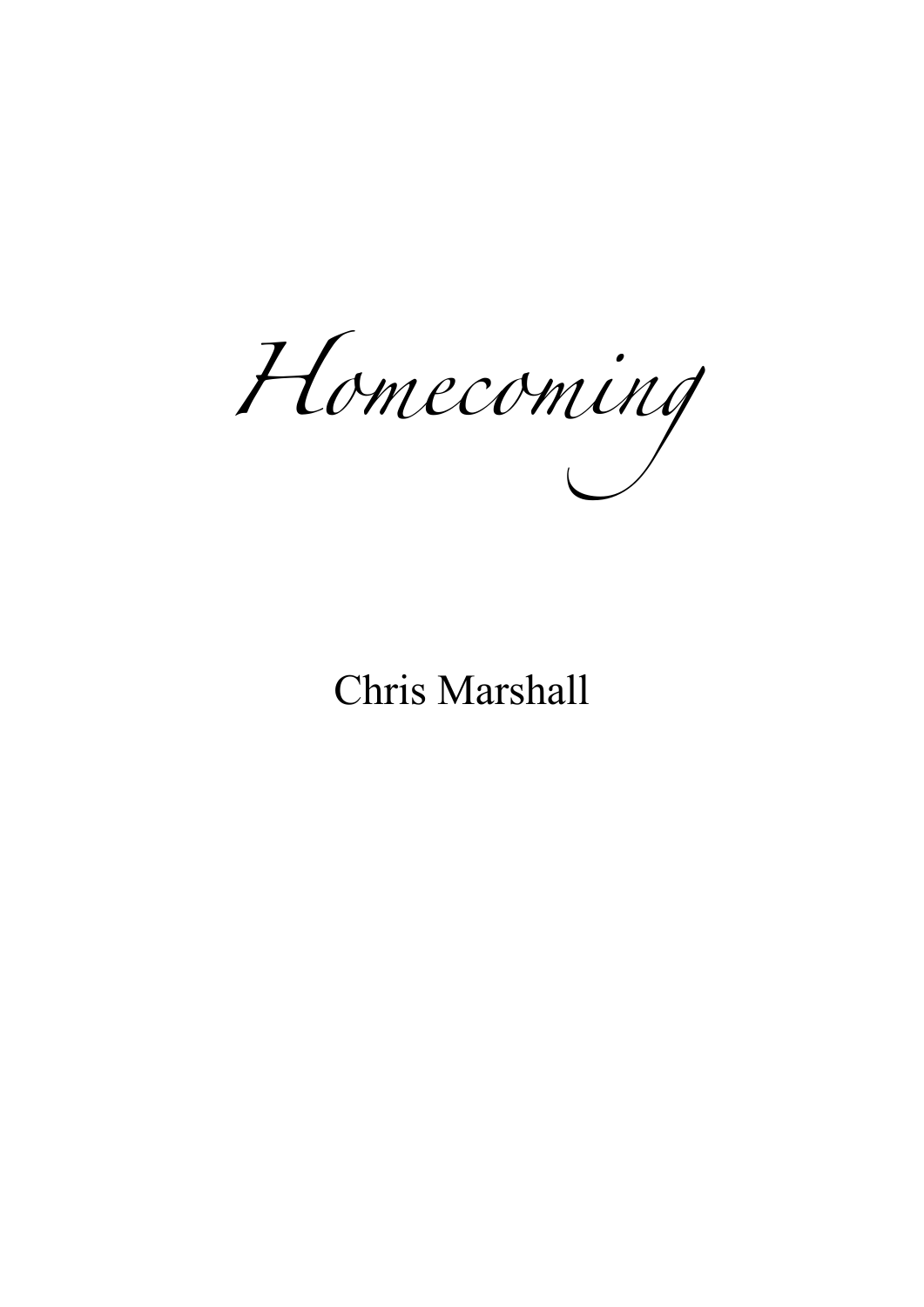Chris Marshall

Homecoming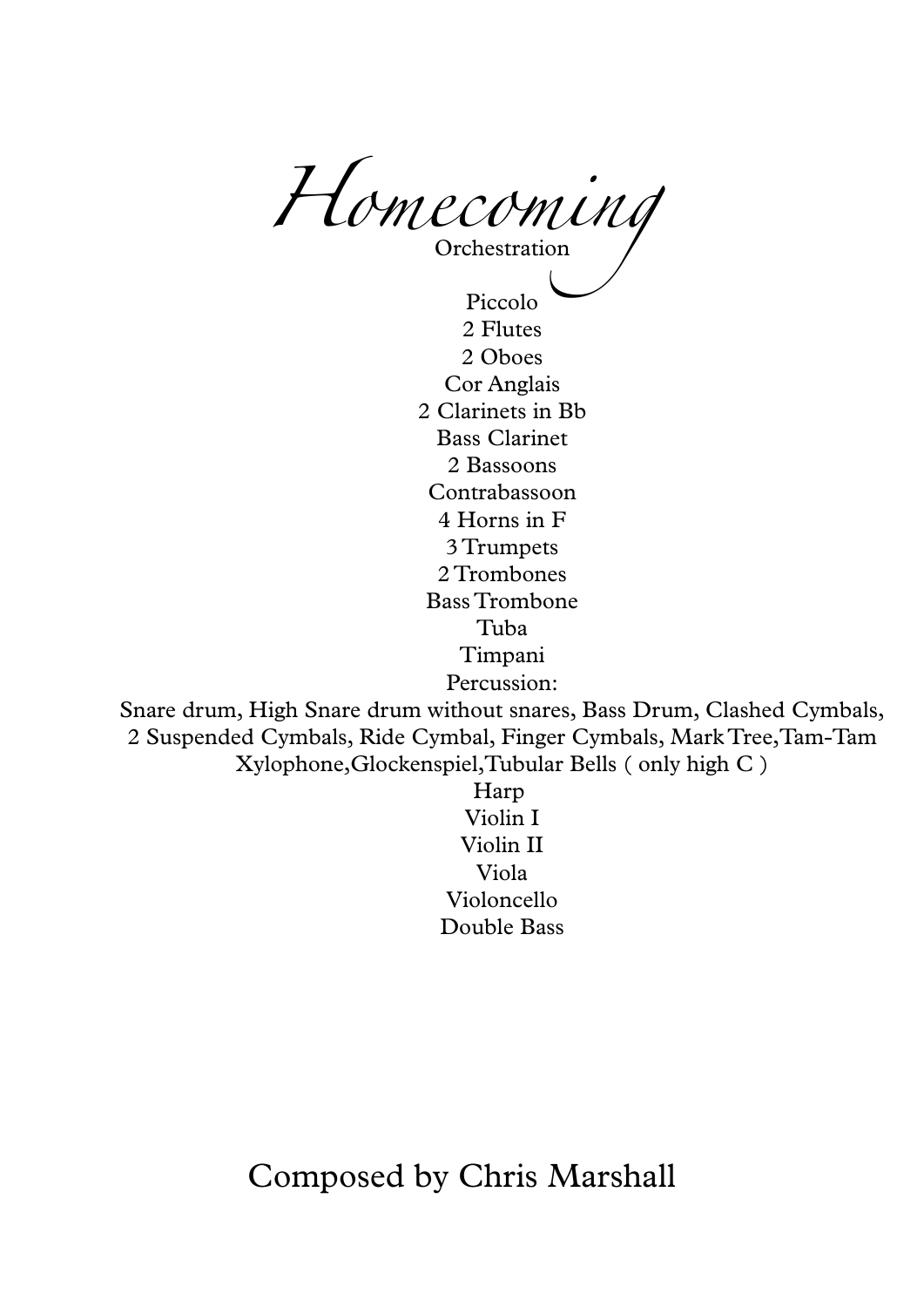## Composed by Chris Marshall

Orchestration / Momecoming

Piccolo 2 Flutes 2 Oboes Cor Anglais 2 Clarinets in Bb Bass Clarinet 2 Bassoons Contrabassoon 4 Horns in F 3 Trumpets 2 Trombones Bass Trombone Tuba Timpani Percussion:

Snare drum, High Snare drum without snares, Bass Drum, Clashed Cymbals, 2 Suspended Cymbals, Ride Cymbal, Finger Cymbals, Mark Tree,Tam-Tam Xylophone,Glockenspiel,Tubular Bells ( only high C )

> Harp Violin I Violin II Viola Violoncello Double Bass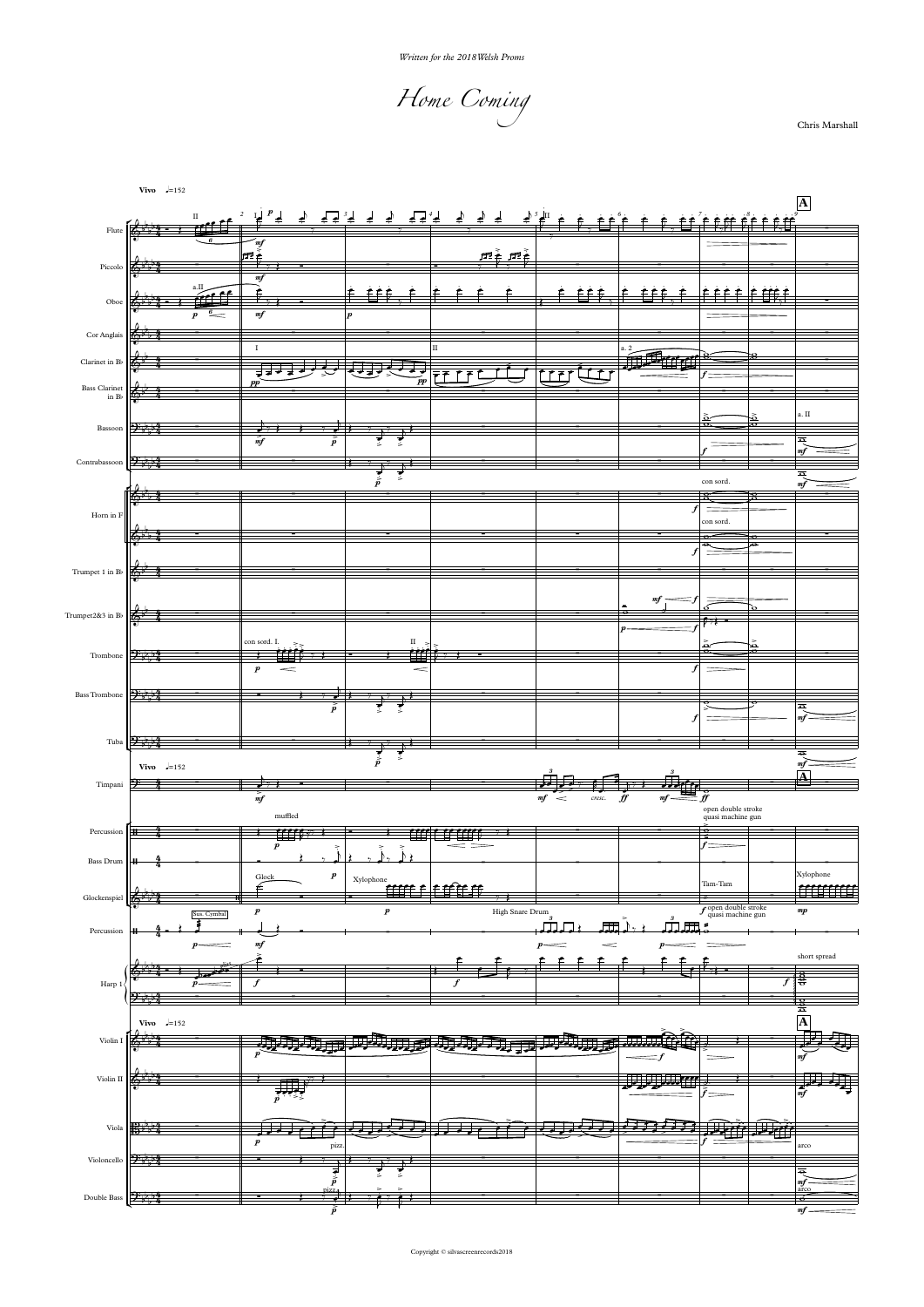

Copyright © silvascreenrecords2018

*Written for the 2018Welsh Proms*

Home Coming

Chris Marshall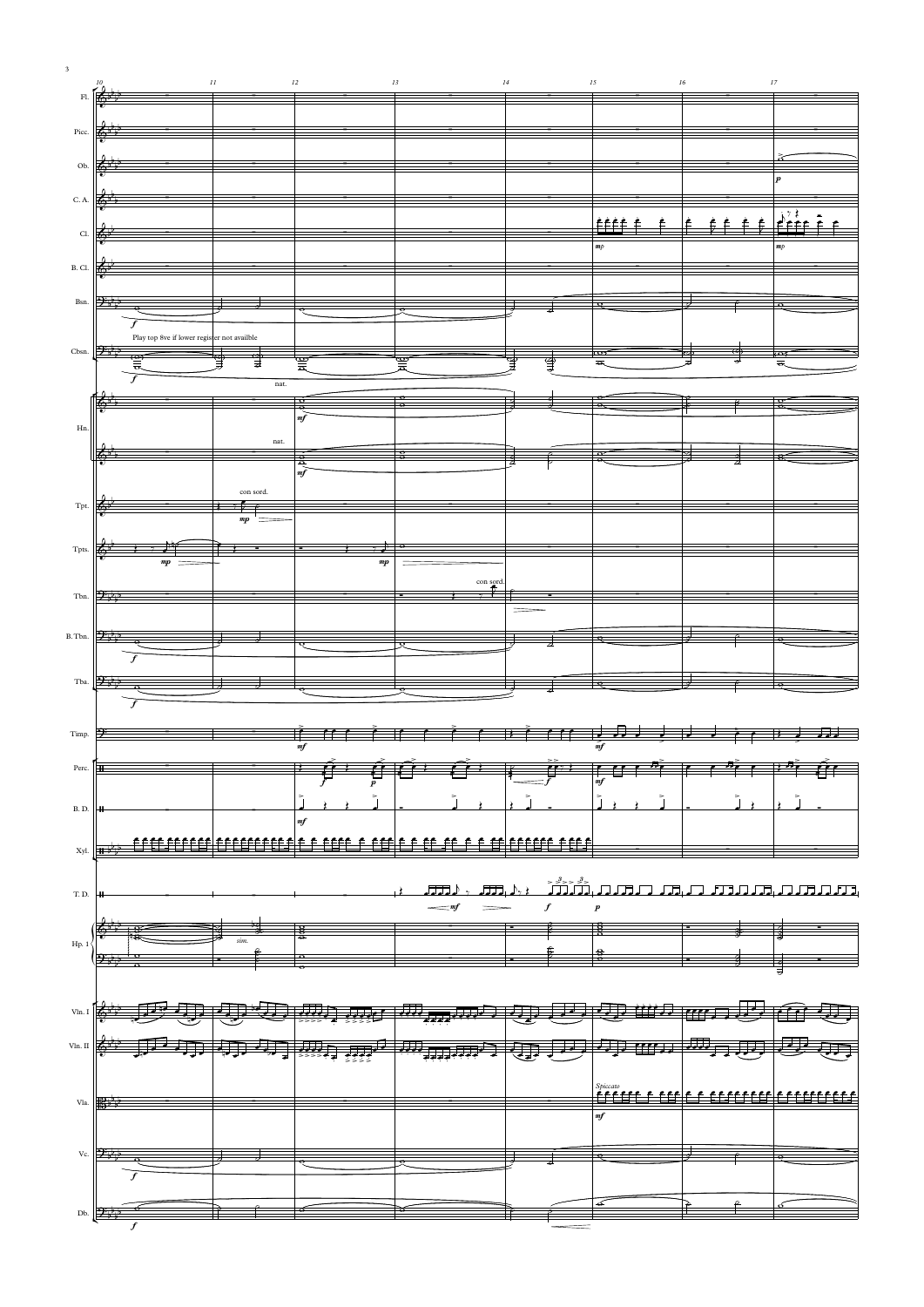

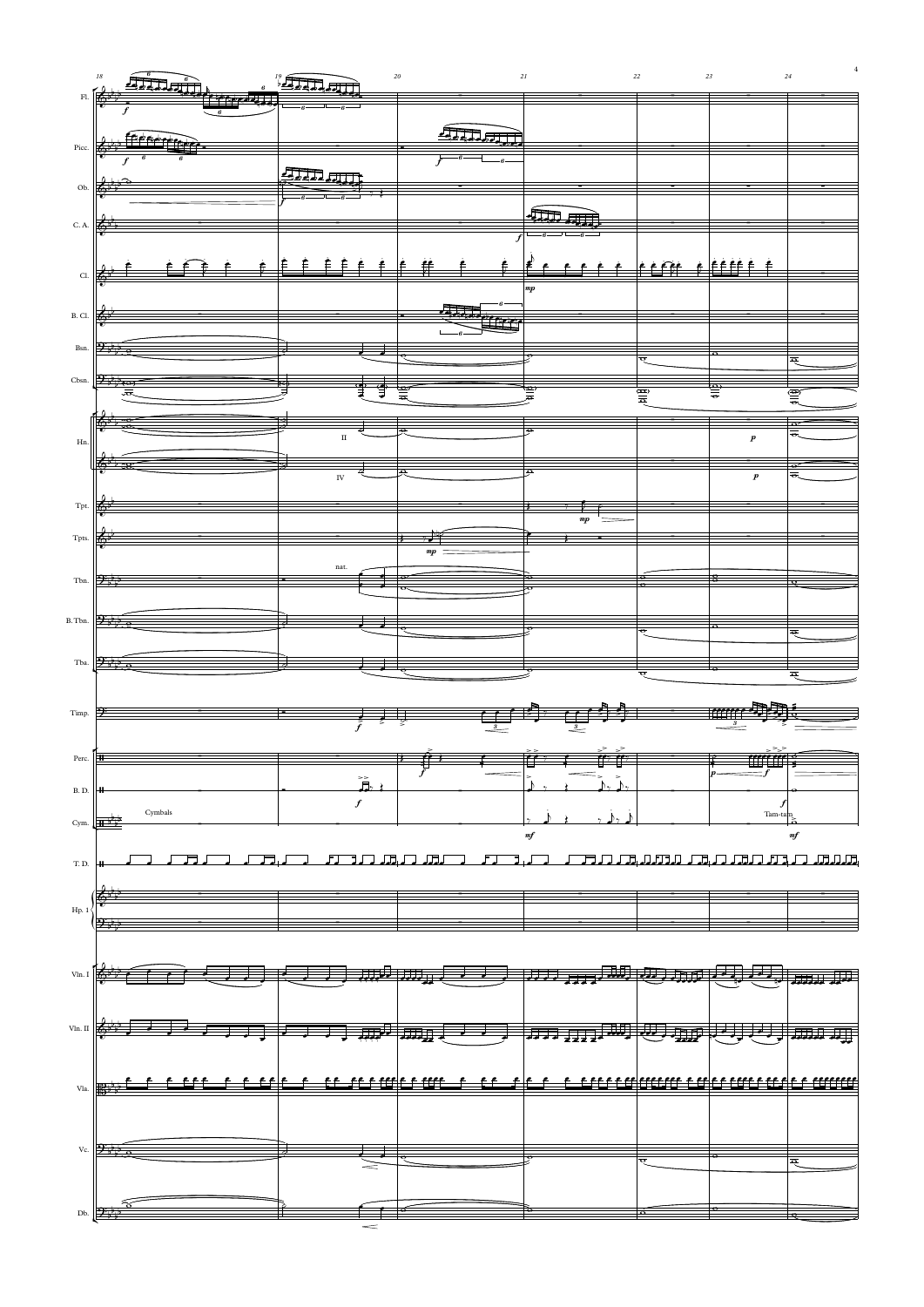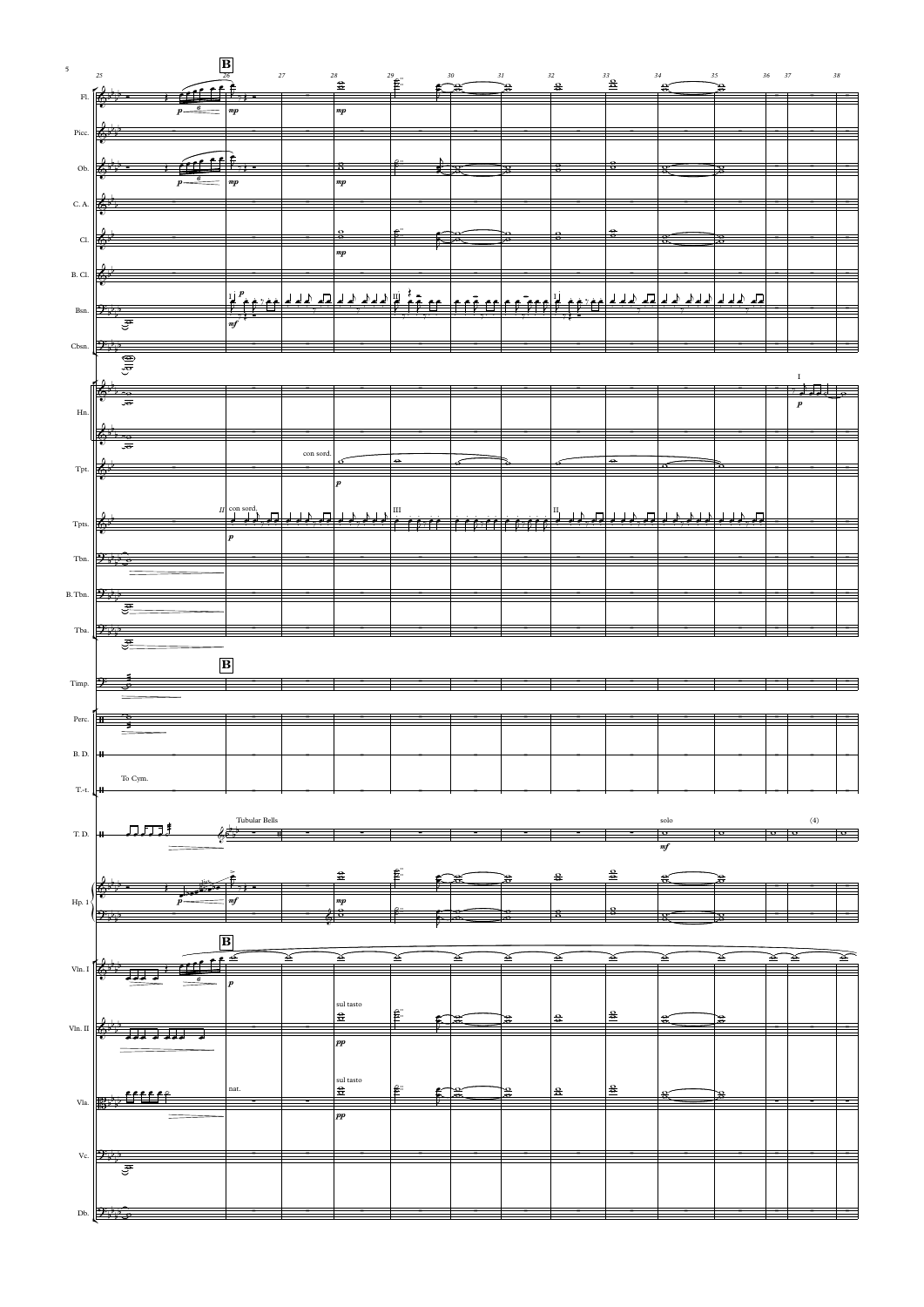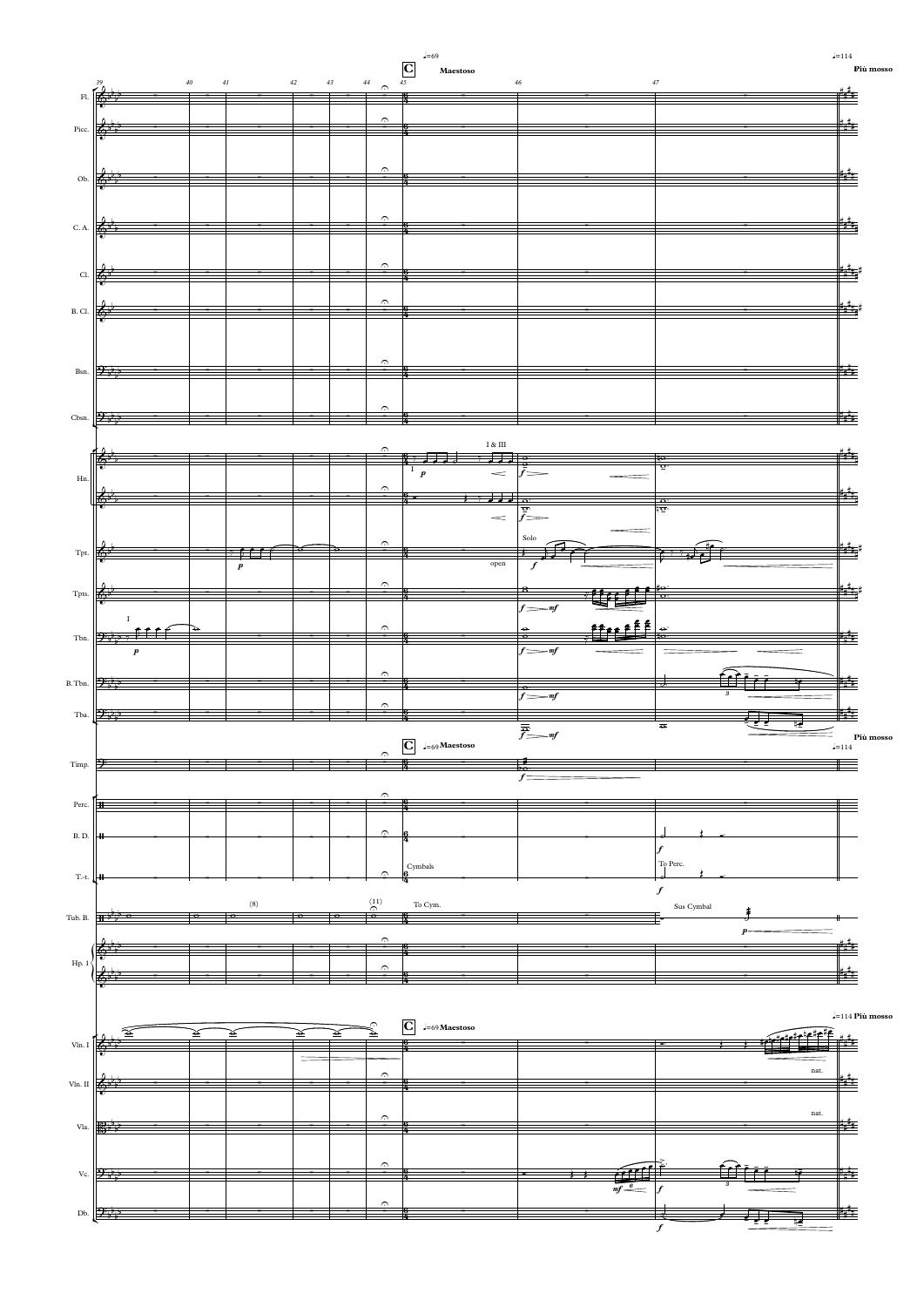

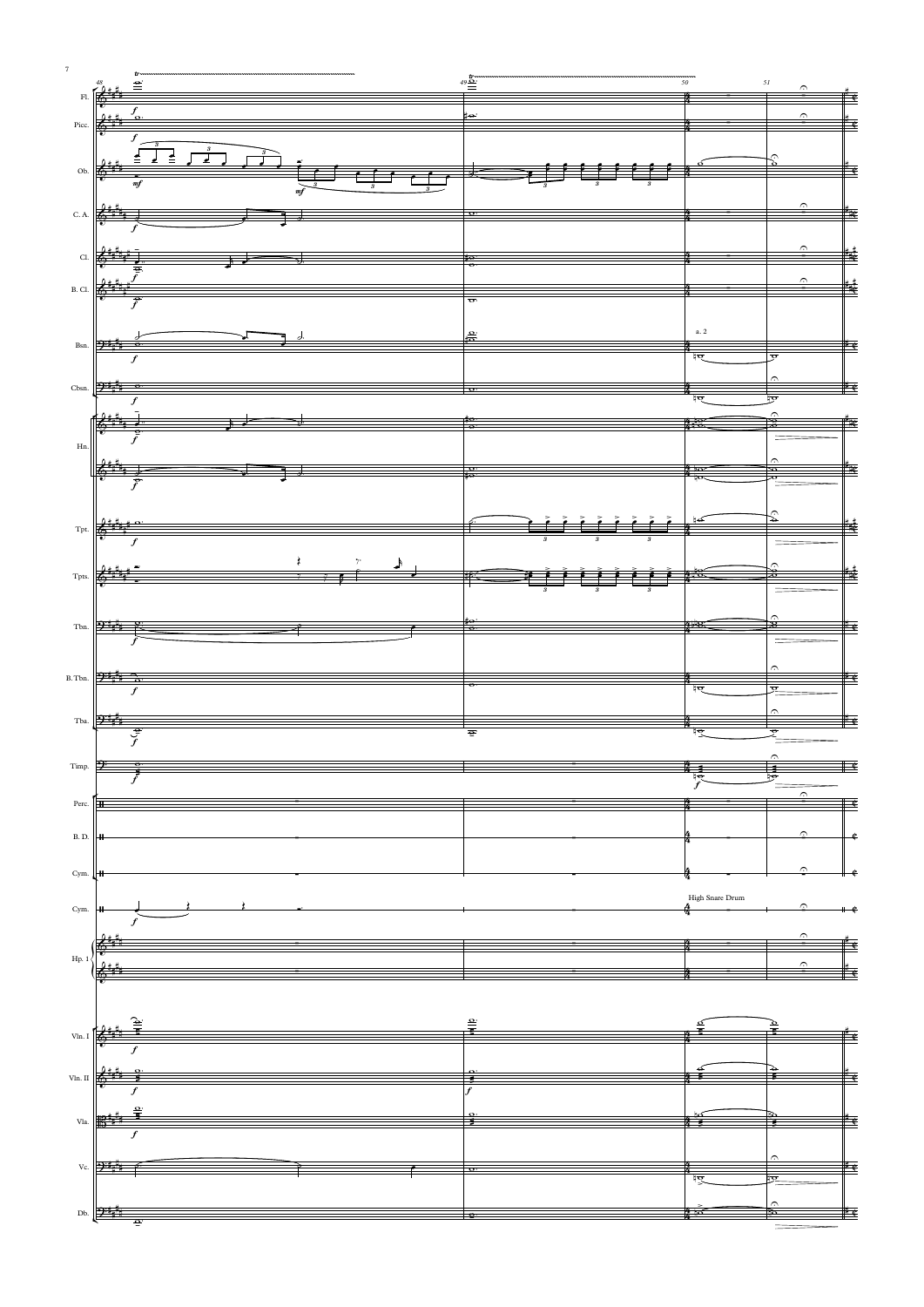

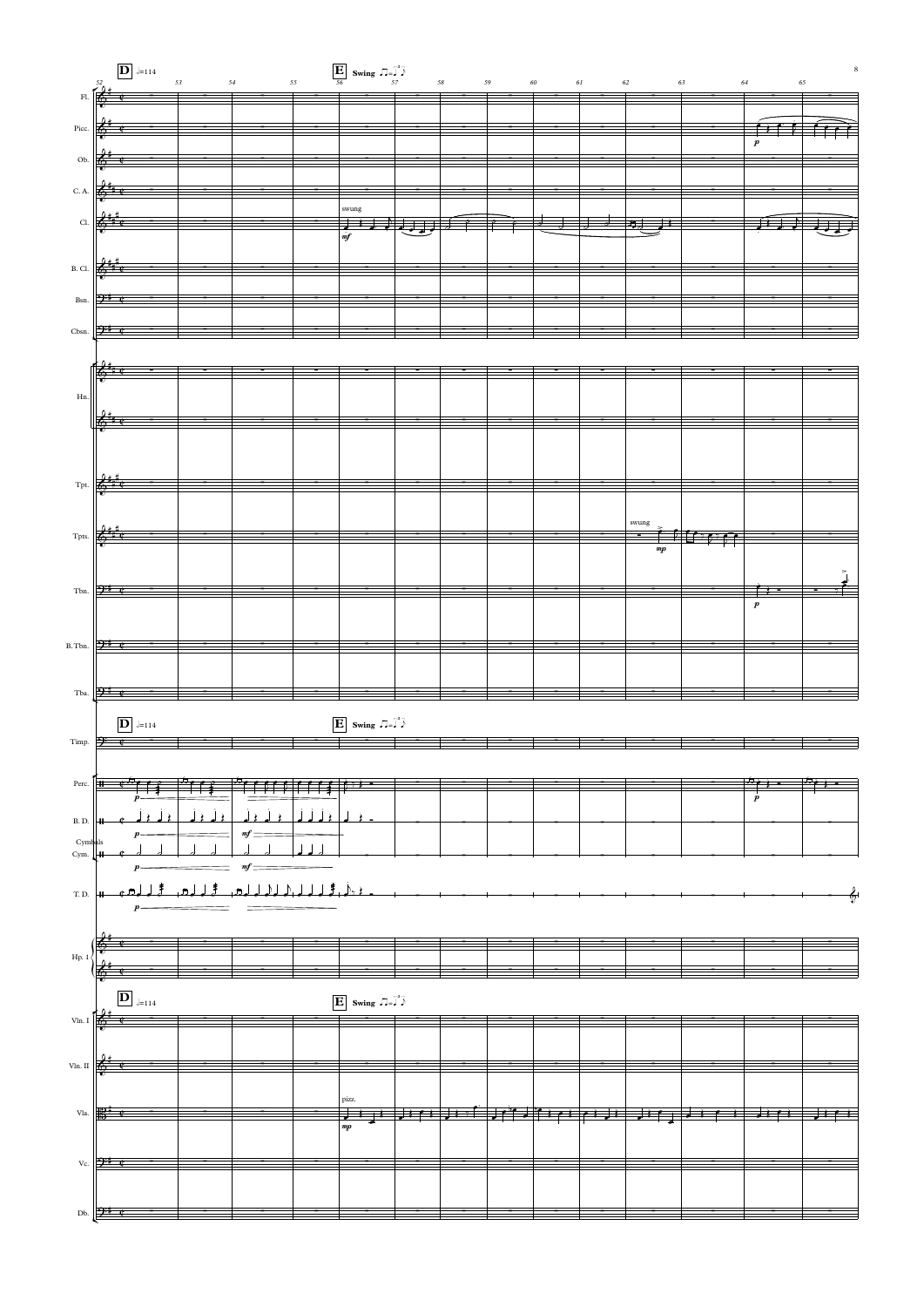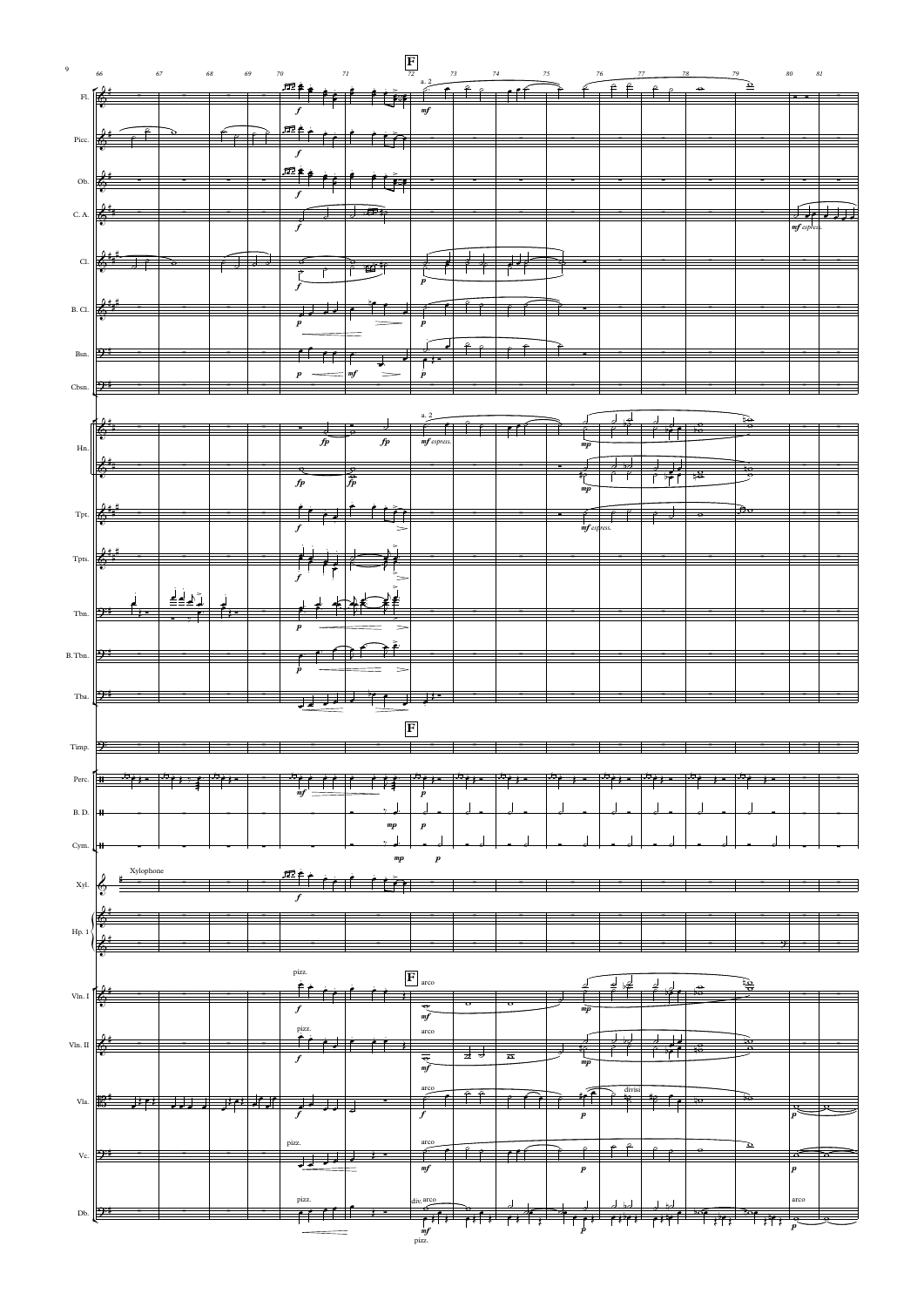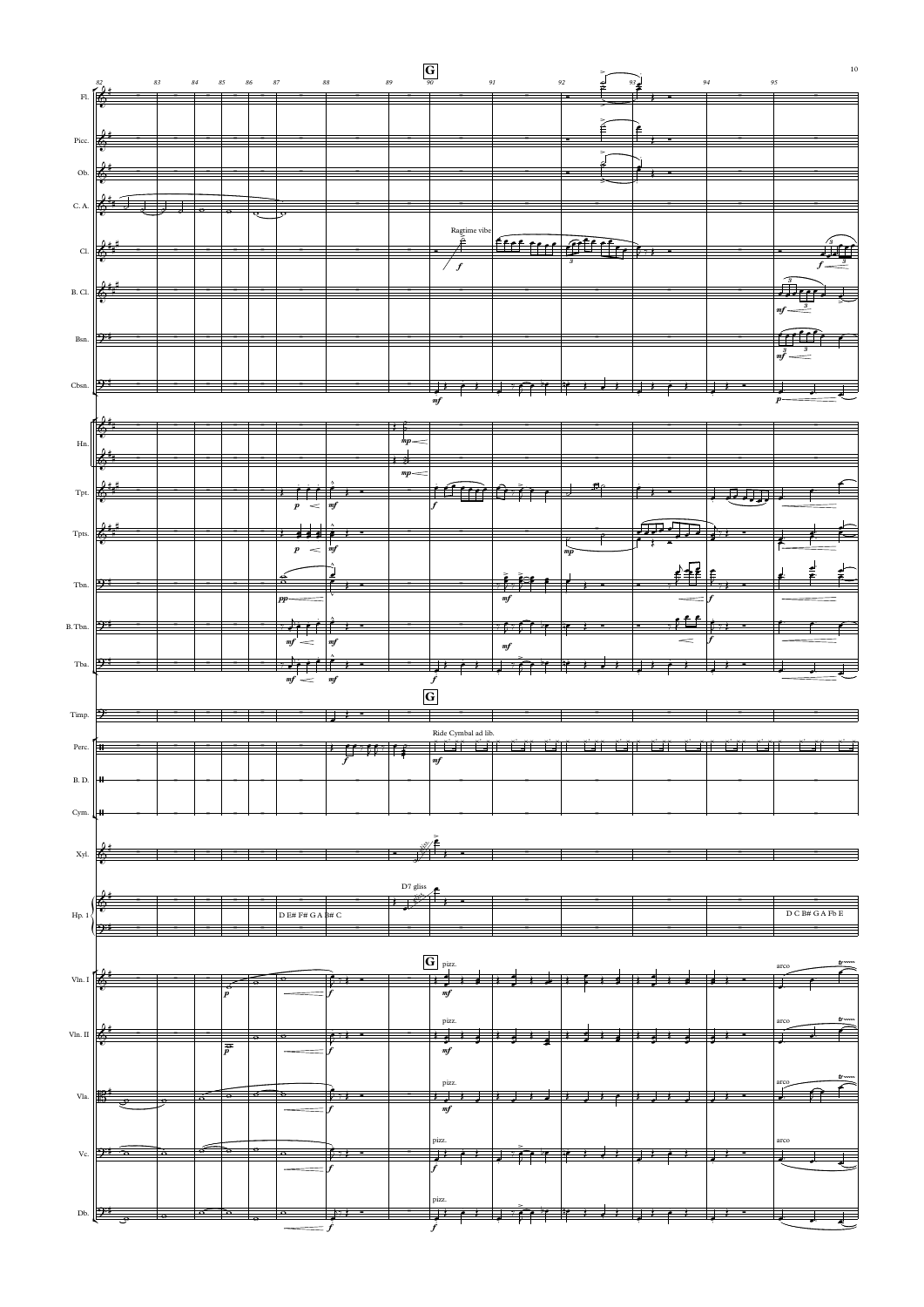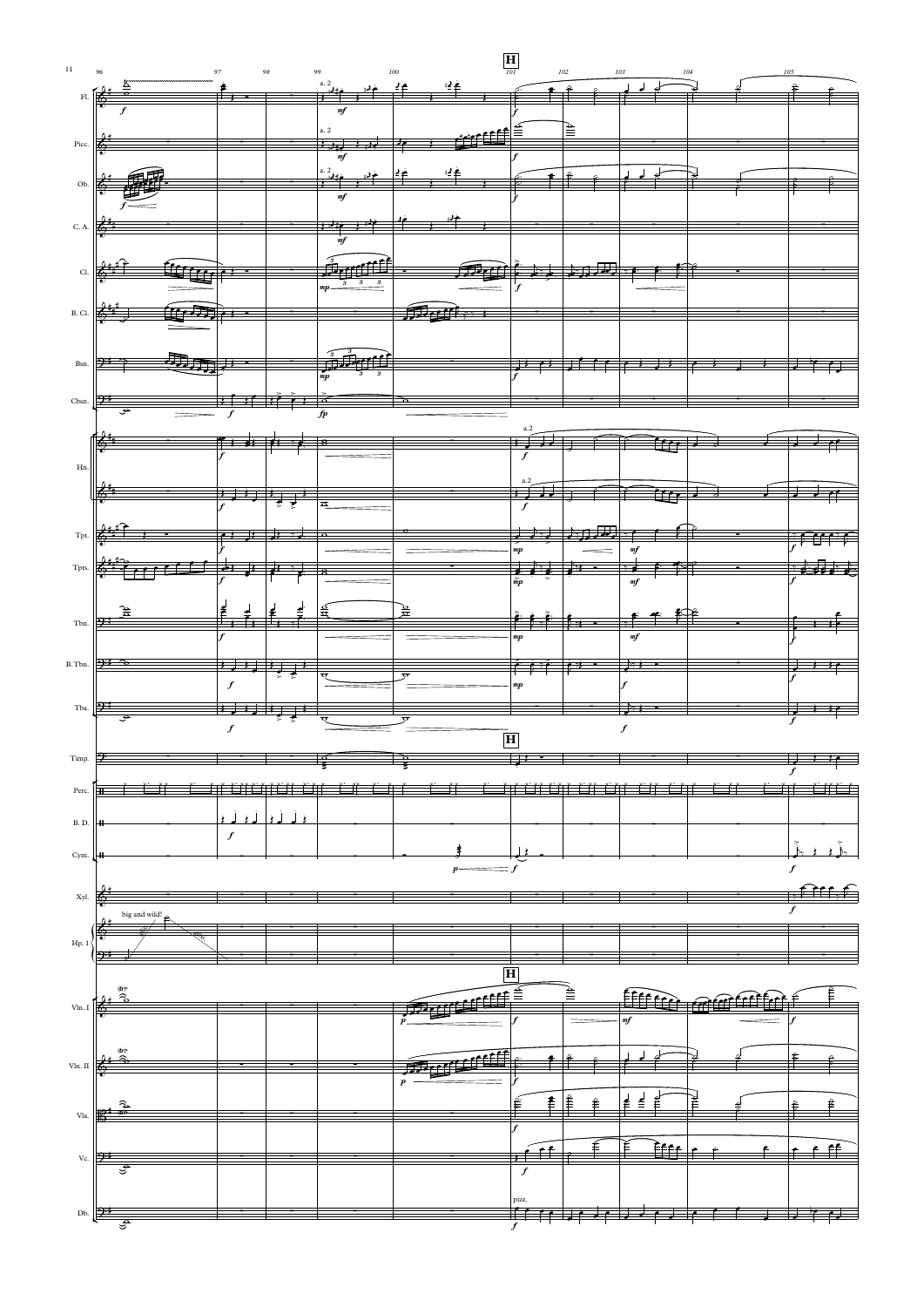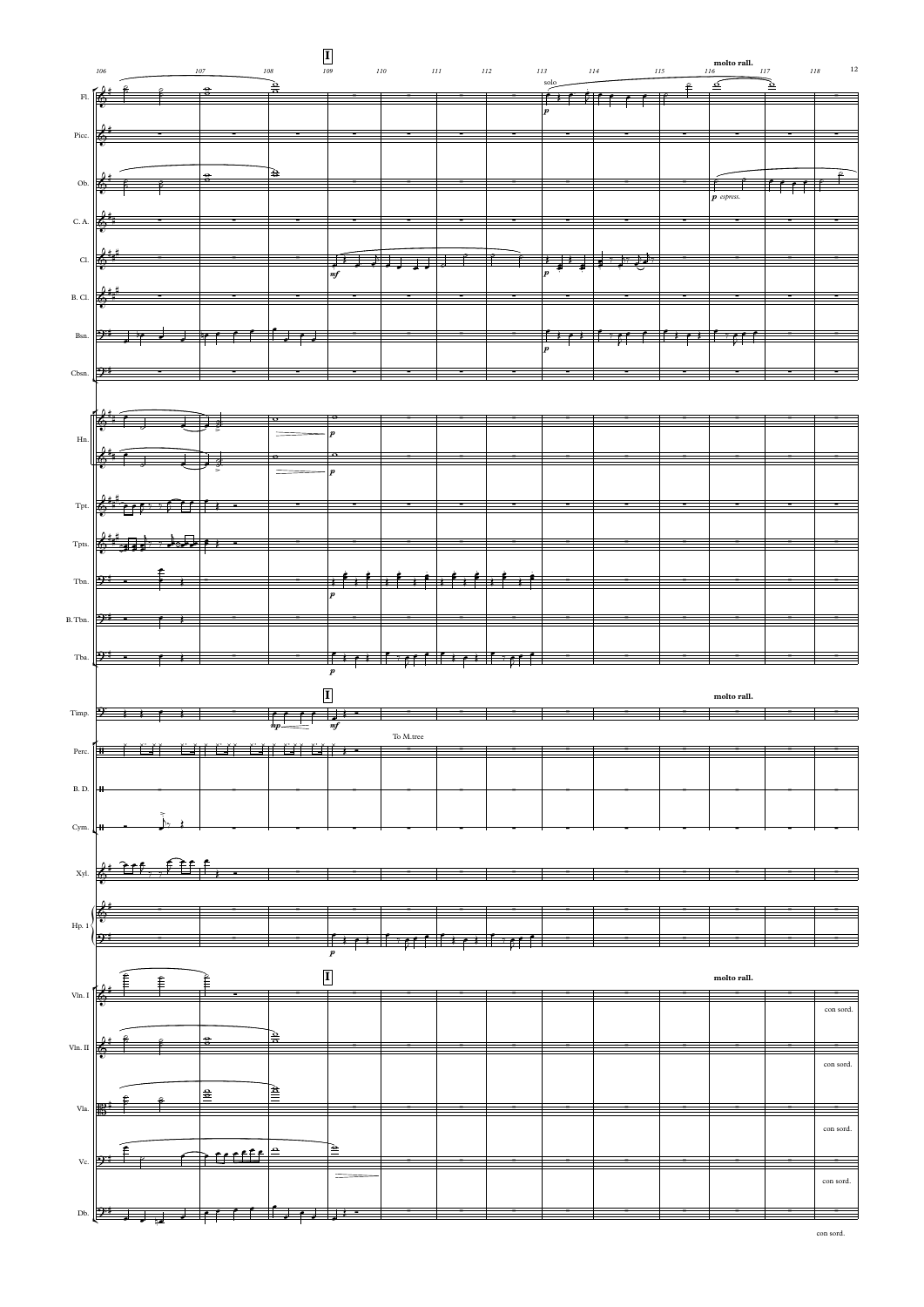

con sord.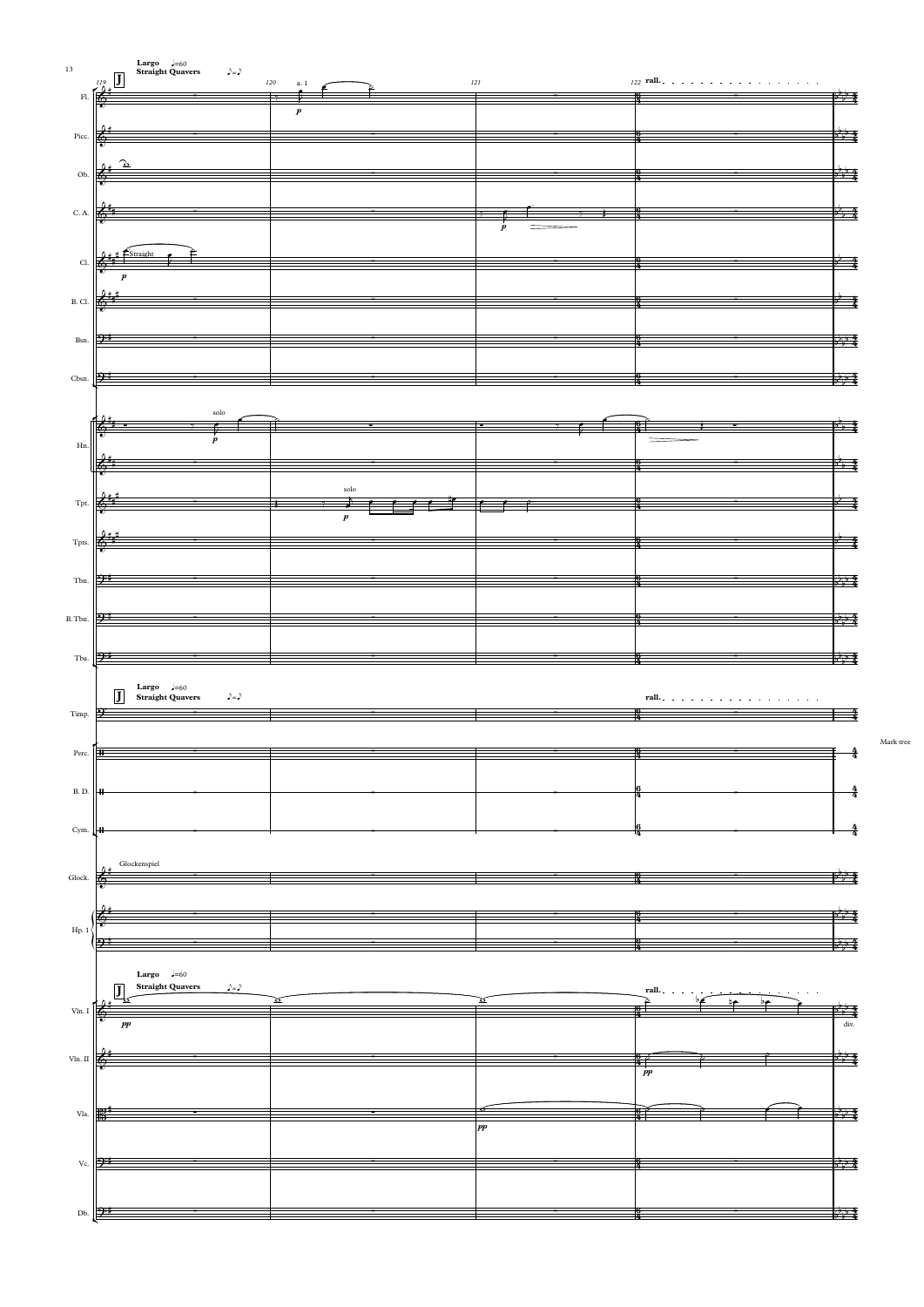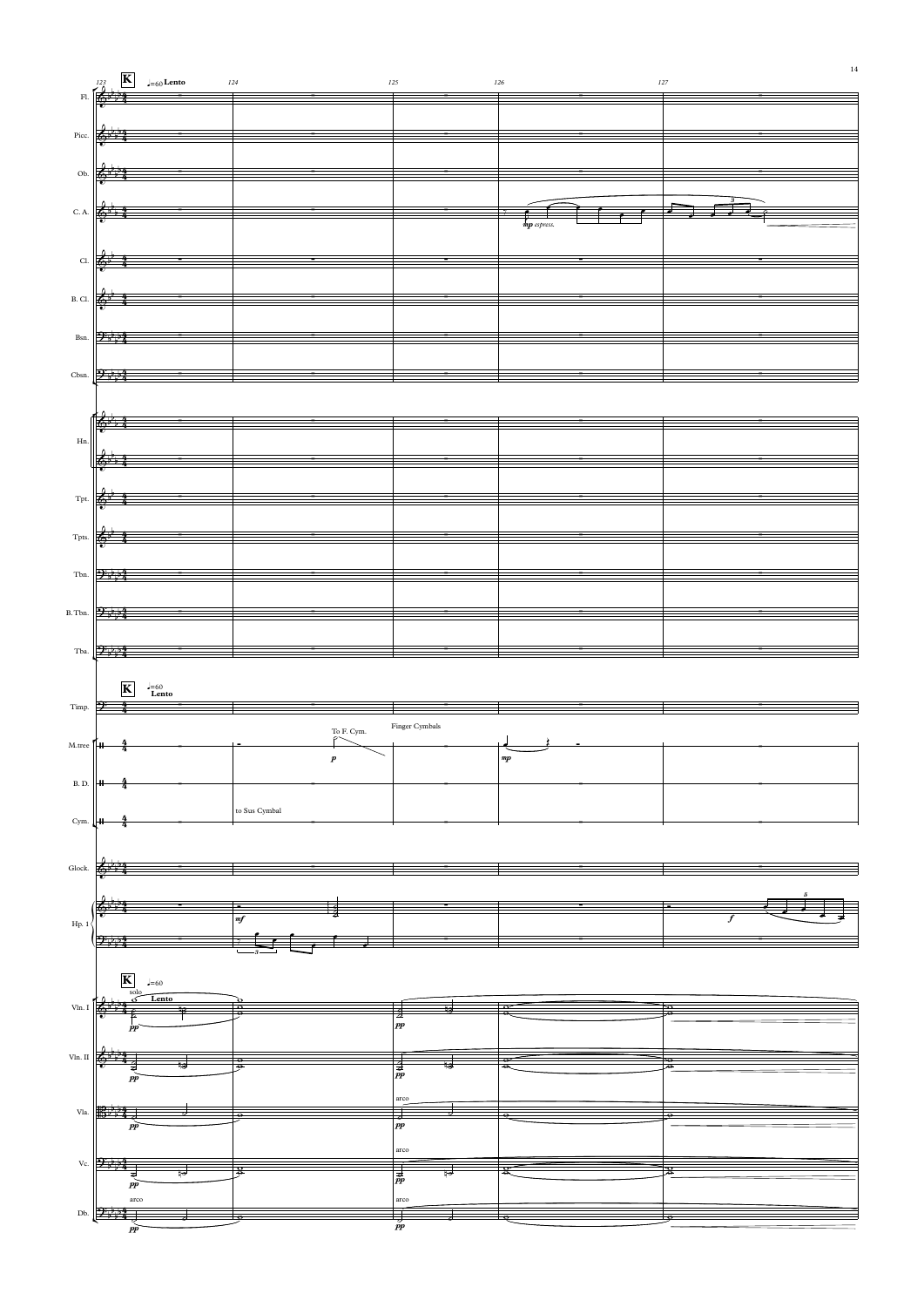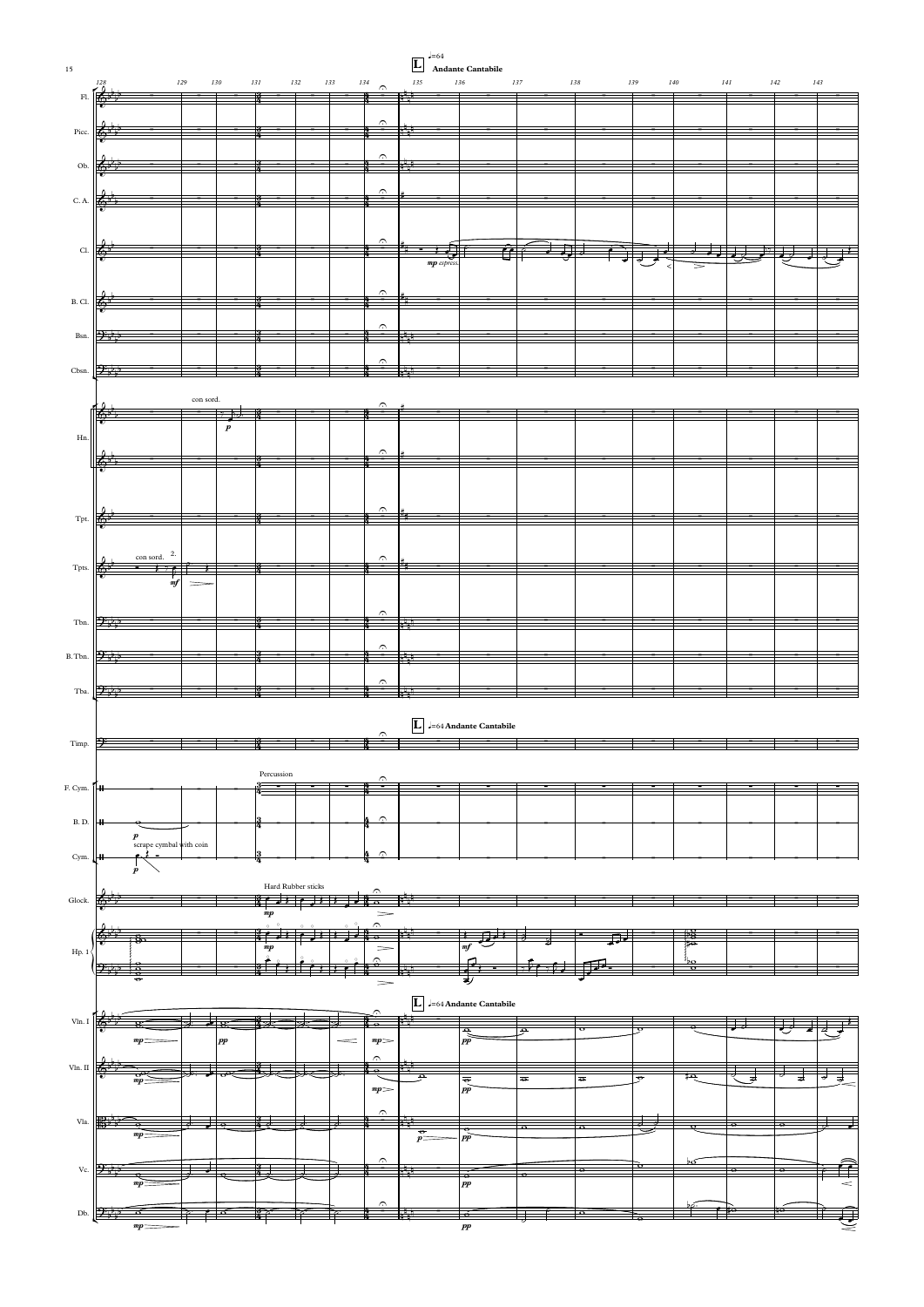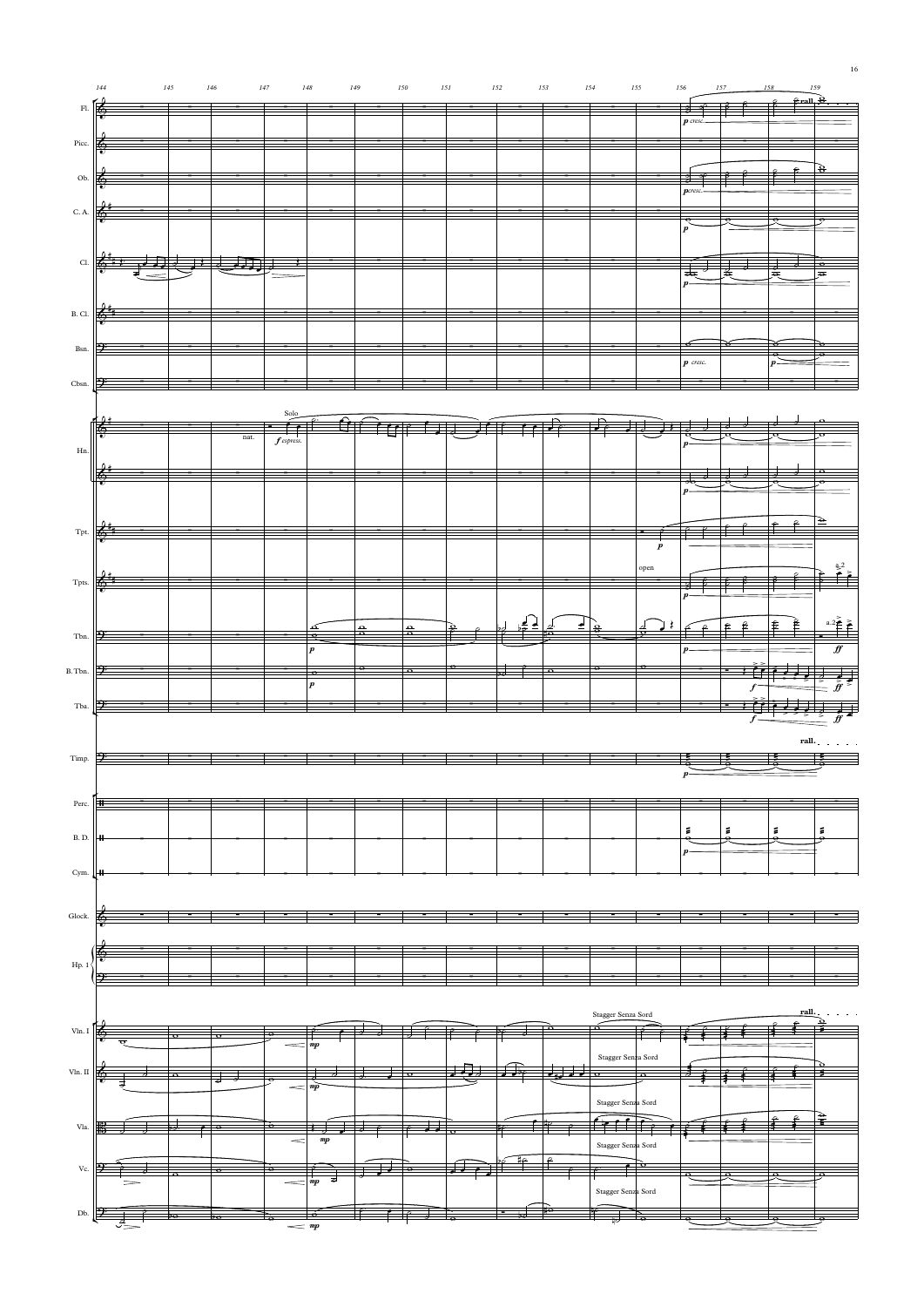

16

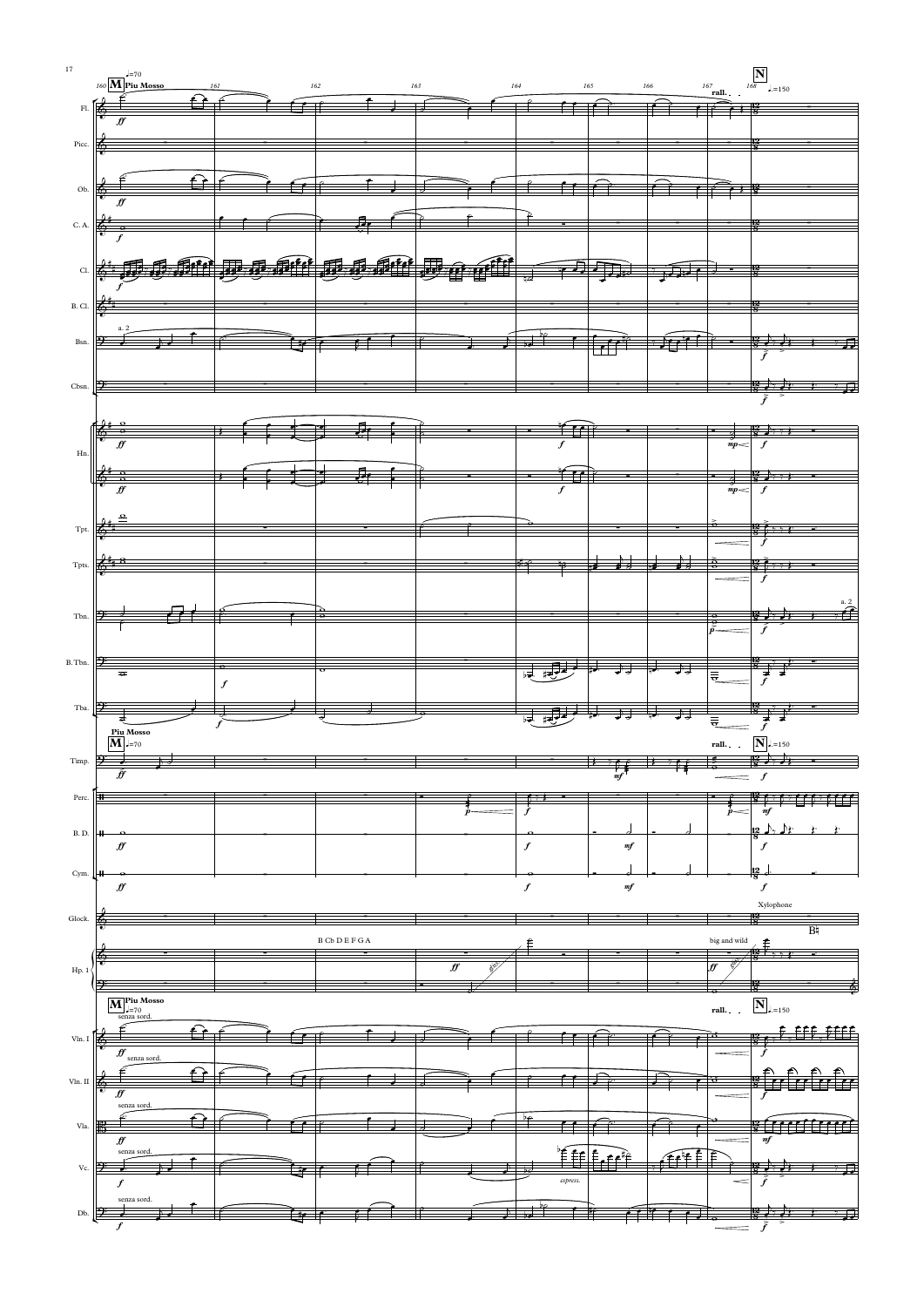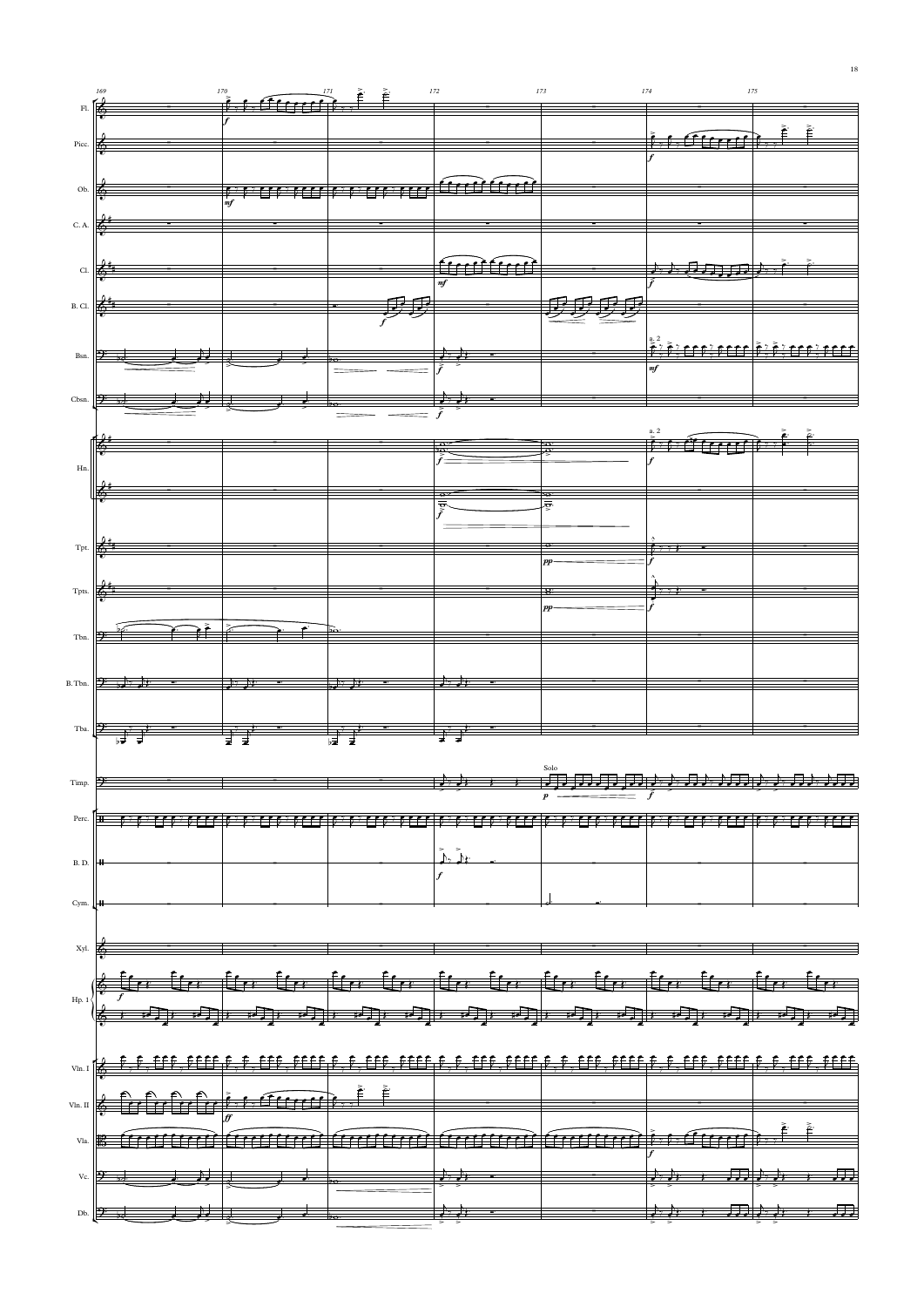

18